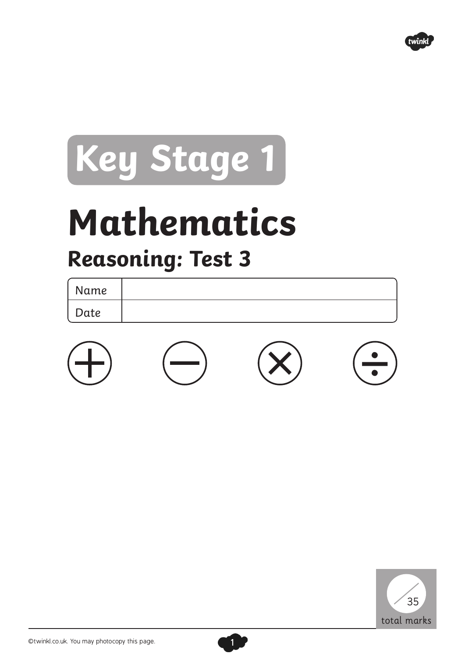

## **Key Stage 1**

## **Mathematics Reasoning: Test 3**

| Name |  |
|------|--|
| Date |  |





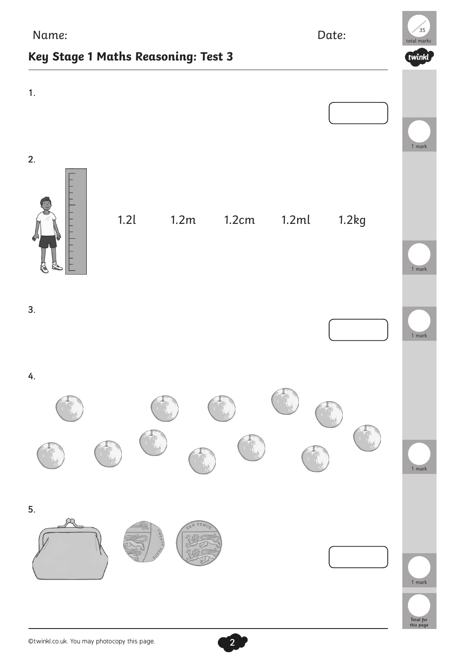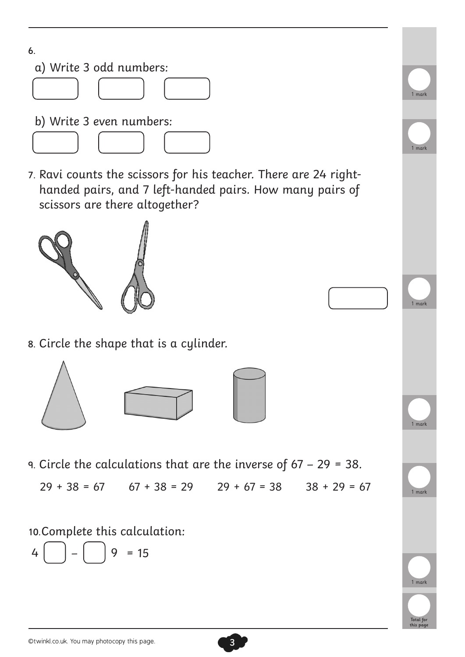

7. Ravi counts the scissors for his teacher. There are 24 righthanded pairs, and 7 left-handed pairs. How many pairs of scissors are there altogether?



8. Circle the shape that is a cylinder.



9. Circle the calculations that are the inverse of 67 – 29 = 38.

 $29 + 38 = 67$   $67 + 38 = 29$   $29 + 67 = 38$   $38 + 29 = 67$ 

3

10.Complete this calculation:

$$
4\begin{bmatrix} \phantom{-} \\ \phantom{-} \end{bmatrix} - \begin{bmatrix} \phantom{-} \\ \phantom{-} \end{bmatrix} = 15
$$

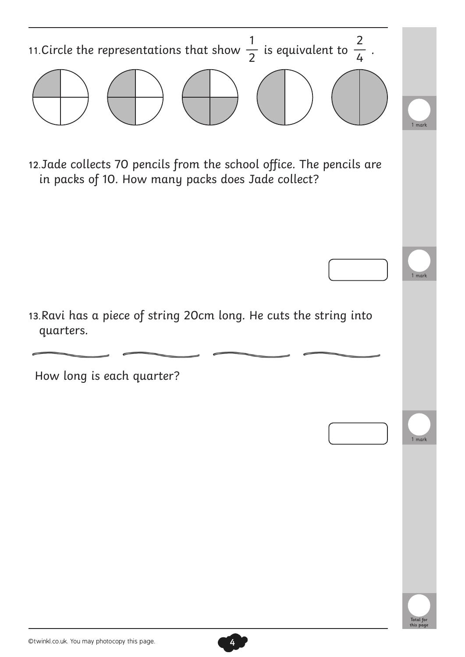

4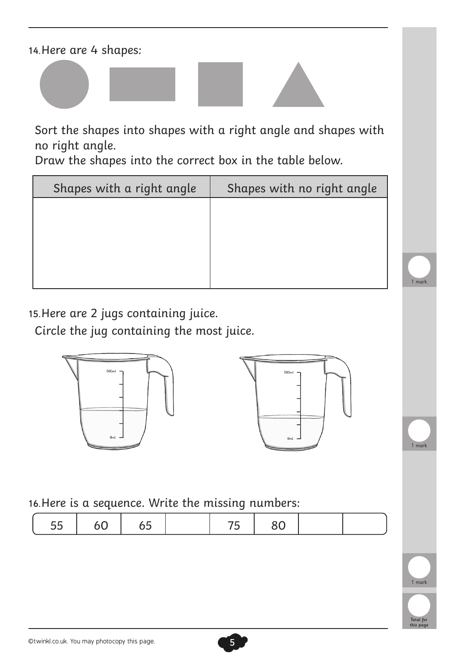14.Here are 4 shapes:



Draw the shapes into the correct box in the table below.

| Shapes with a right angle | Shapes with no right angle |
|---------------------------|----------------------------|
|                           |                            |
|                           |                            |
|                           |                            |
|                           |                            |

15.Here are 2 jugs containing juice.

Circle the jug containing the most juice.





16.Here is a sequence. Write the missing numbers:

|--|--|--|



1 mark

1 mark

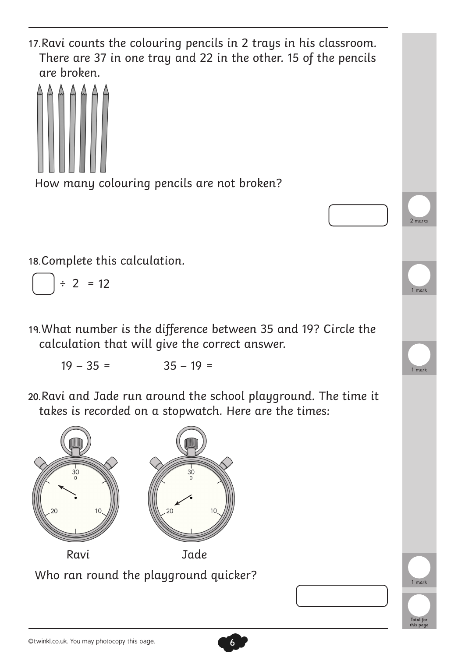17.Ravi counts the colouring pencils in 2 trays in his classroom. There are 37 in one tray and 22 in the other. 15 of the pencils are broken.



How many colouring pencils are not broken?

18.Complete this calculation.

$$
= 2 = 12
$$

19.What number is the difference between 35 and 19? Circle the calculation that will give the correct answer.

 $19 - 35 = 35 - 19 =$ 

20.Ravi and Jade run around the school playground. The time it takes is recorded on a stopwatch. Here are the times:

6



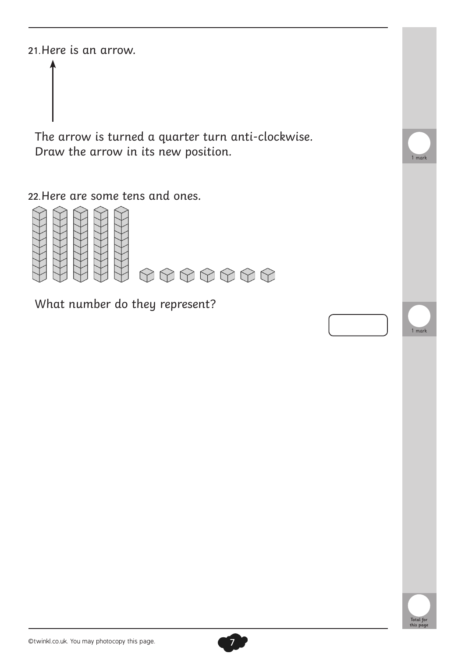21.Here is an arrow.

The arrow is turned a quarter turn anti-clockwise. Draw the arrow in its new position.

22.Here are some tens and ones.



What number do they represent?





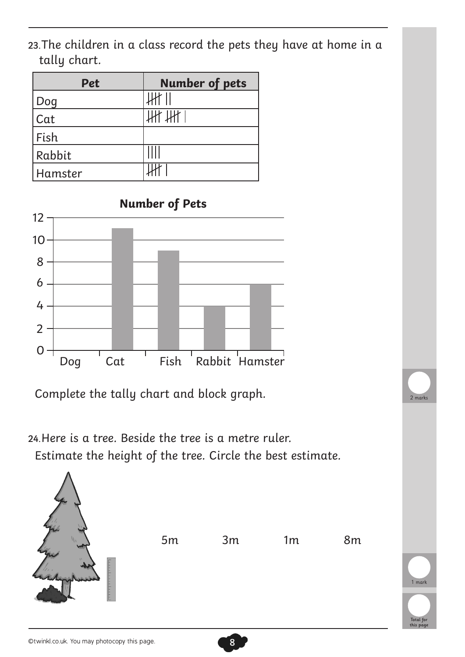23.The children in a class record the pets they have at home in a tally chart.

| <b>Pet</b> | <b>Number of pets</b> |
|------------|-----------------------|
| Doq        |                       |
| Cat        |                       |
| Fish       |                       |
| Rabbit     |                       |
| Hamster    |                       |



Complete the tally chart and block graph.

24.Here is a tree. Beside the tree is a metre ruler. Estimate the height of the tree. Circle the best estimate.



8

Total for this page

 $2$  mark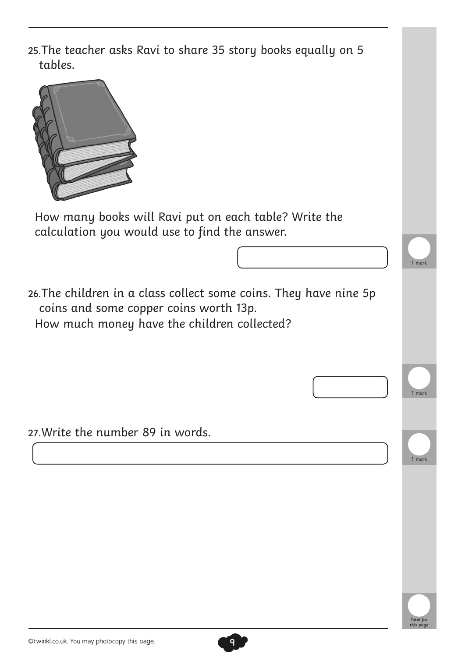| 25. The teacher asks Ravi to share 35 story books equally on 5<br>tables.                                                                                  |                               |
|------------------------------------------------------------------------------------------------------------------------------------------------------------|-------------------------------|
|                                                                                                                                                            |                               |
| How many books will Ravi put on each table? Write the<br>calculation you would use to find the answer.                                                     |                               |
|                                                                                                                                                            |                               |
|                                                                                                                                                            | 1 mark                        |
| 26. The children in a class collect some coins. They have nine 5p<br>coins and some copper coins worth 13p.<br>How much money have the children collected? |                               |
|                                                                                                                                                            | 1 mark                        |
|                                                                                                                                                            |                               |
| 27. Write the number 89 in words.                                                                                                                          |                               |
|                                                                                                                                                            | 1 mark                        |
|                                                                                                                                                            |                               |
|                                                                                                                                                            |                               |
|                                                                                                                                                            |                               |
|                                                                                                                                                            |                               |
|                                                                                                                                                            |                               |
|                                                                                                                                                            |                               |
|                                                                                                                                                            | <b>Total</b> for<br>this pagı |

9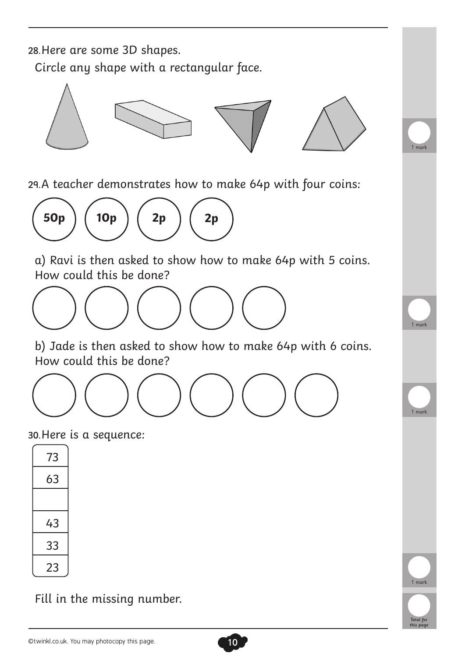28.Here are some 3D shapes.

Circle any shape with a rectangular face.



29.A teacher demonstrates how to make 64p with four coins:



a) Ravi is then asked to show how to make 64p with 5 coins. How could this be done?



b) Jade is then asked to show how to make 64p with 6 coins. How could this be done?

10

Total for this page

1 mark

1 mark

1 mark

1 mark



30.Here is a sequence:

| 73 |  |
|----|--|
| 63 |  |
|    |  |
| 43 |  |
| 33 |  |
| 23 |  |

Fill in the missing number.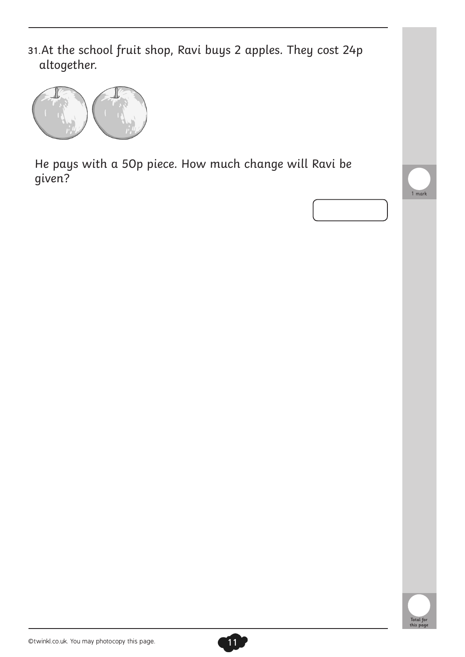31.At the school fruit shop, Ravi buys 2 apples. They cost 24p altogether.



He pays with a 50p piece. How much change will Ravi be given?





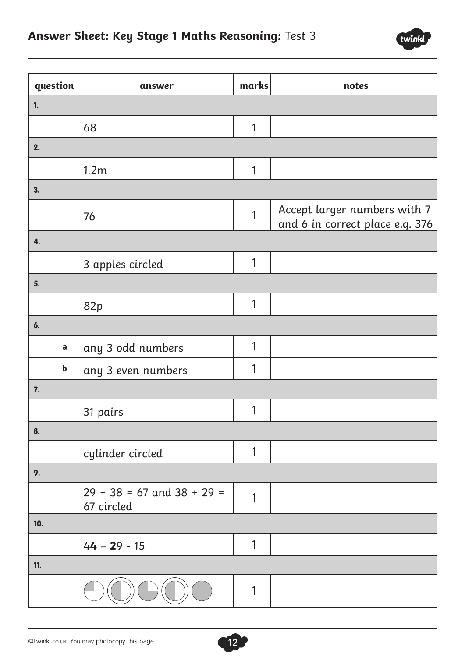

| question                  | answer                                       | marks        | notes                                                           |
|---------------------------|----------------------------------------------|--------------|-----------------------------------------------------------------|
| 1.                        |                                              |              |                                                                 |
|                           | 68                                           | 1            |                                                                 |
| 2.                        |                                              |              |                                                                 |
|                           | 1.2m                                         | 1            |                                                                 |
| 3.                        |                                              |              |                                                                 |
|                           | 76                                           | 1            | Accept larger numbers with 7<br>and 6 in correct place e.g. 376 |
| 4.                        |                                              |              |                                                                 |
|                           | 3 apples circled                             | $\mathbf{1}$ |                                                                 |
| 5.                        |                                              |              |                                                                 |
|                           | 82p                                          | 1            |                                                                 |
| 6.                        |                                              |              |                                                                 |
| $\mathsf a$               | any 3 odd numbers                            | 1            |                                                                 |
| $\boldsymbol{\mathsf{b}}$ | any 3 even numbers                           | 1            |                                                                 |
| 7.                        |                                              |              |                                                                 |
|                           | 31 pairs                                     | 1            |                                                                 |
| 8.                        |                                              |              |                                                                 |
|                           | cylinder circled                             | 1            |                                                                 |
| 9.                        |                                              |              |                                                                 |
|                           | $29 + 38 = 67$ and $38 + 29 =$<br>67 circled | 1            |                                                                 |
| 10.                       |                                              |              |                                                                 |
|                           | $44 - 29 - 15$                               | 1            |                                                                 |
| 11.                       |                                              |              |                                                                 |
|                           |                                              | 1            |                                                                 |

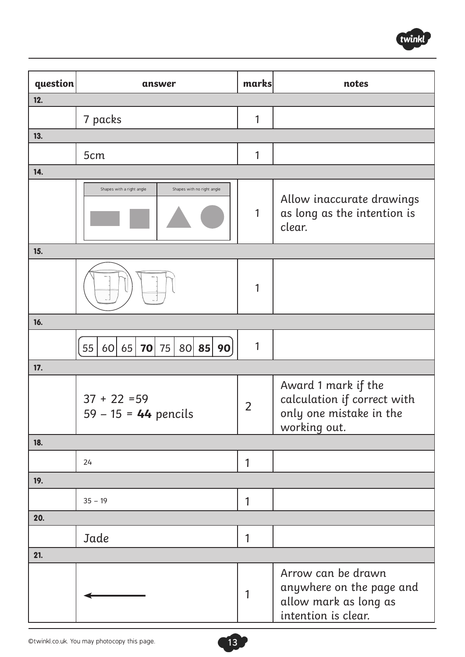

| question | answer                                                  | marks          | notes                                                                                          |
|----------|---------------------------------------------------------|----------------|------------------------------------------------------------------------------------------------|
| 12.      |                                                         |                |                                                                                                |
|          | 7 packs                                                 | 1              |                                                                                                |
| 13.      |                                                         |                |                                                                                                |
|          | 5cm                                                     | 1              |                                                                                                |
| 14.      |                                                         |                |                                                                                                |
|          | Shapes with no right angle<br>Shapes with a right angle | 1              | Allow inaccurate drawings<br>as long as the intention is<br>clear.                             |
| 15.      |                                                         |                |                                                                                                |
|          |                                                         | 1              |                                                                                                |
| 16.      |                                                         |                |                                                                                                |
|          | 80<br>55<br>65<br>75<br>85<br>90<br>60<br>70            | 1              |                                                                                                |
| 17.      |                                                         |                |                                                                                                |
|          | $37 + 22 = 59$<br>$59 - 15 = 44$ pencils                | $\overline{2}$ | Award 1 mark if the<br>calculation if correct with<br>only one mistake in the<br>working out.  |
| 18.      |                                                         |                |                                                                                                |
|          | 24                                                      | 1              |                                                                                                |
| 19.      |                                                         |                |                                                                                                |
|          | $35 - 19$                                               | 1              |                                                                                                |
| 20.      |                                                         |                |                                                                                                |
|          | Jade                                                    | 1              |                                                                                                |
| 21.      |                                                         |                |                                                                                                |
|          |                                                         | 1              | Arrow can be drawn<br>anywhere on the page and<br>allow mark as long as<br>intention is clear. |